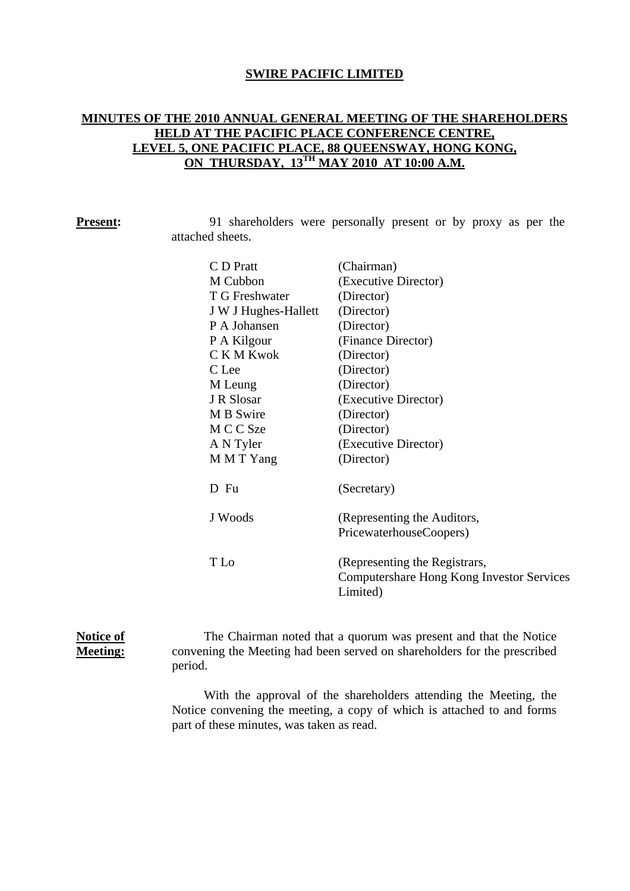## **SWIRE PACIFIC LIMITED**

# **MINUTES OF THE 2010 ANNUAL GENERAL MEETING OF THE SHAREHOLDERS HELD AT THE PACIFIC PLACE CONFERENCE CENTRE, LEVEL 5, ONE PACIFIC PLACE, 88 QUEENSWAY, HONG KONG, ON THURSDAY, 13TH MAY 2010 AT 10:00 A.M.**

| <b>Present:</b> |                  | 91 shareholders were personally present or by proxy as per the |  |  |  |  |
|-----------------|------------------|----------------------------------------------------------------|--|--|--|--|
|                 | attached sheets. |                                                                |  |  |  |  |

| C D Pratt            | (Chairman)                                |
|----------------------|-------------------------------------------|
| M Cubbon             | (Executive Director)                      |
| T G Freshwater       | (Director)                                |
| J W J Hughes-Hallett | (Director)                                |
| P A Johansen         | (Director)                                |
| P A Kilgour          | (Finance Director)                        |
| C K M Kwok           | (Director)                                |
| C Lee                | (Director)                                |
| M Leung              | (Director)                                |
| J R Slosar           | (Executive Director)                      |
| M B Swire            | (Director)                                |
| M C C Sze            | (Director)                                |
| A N Tyler            | (Executive Director)                      |
| M M T Yang           | (Director)                                |
| D Fu                 | (Secretary)                               |
| J Woods              | (Representing the Auditors,               |
|                      | PricewaterhouseCoopers)                   |
| T Lo                 | (Representing the Registrars,             |
|                      | Computershare Hong Kong Investor Services |
|                      | Limited)                                  |
|                      |                                           |

## **Notice of Meeting:**

The Chairman noted that a quorum was present and that the Notice convening the Meeting had been served on shareholders for the prescribed period.

With the approval of the shareholders attending the Meeting, the Notice convening the meeting, a copy of which is attached to and forms part of these minutes, was taken as read.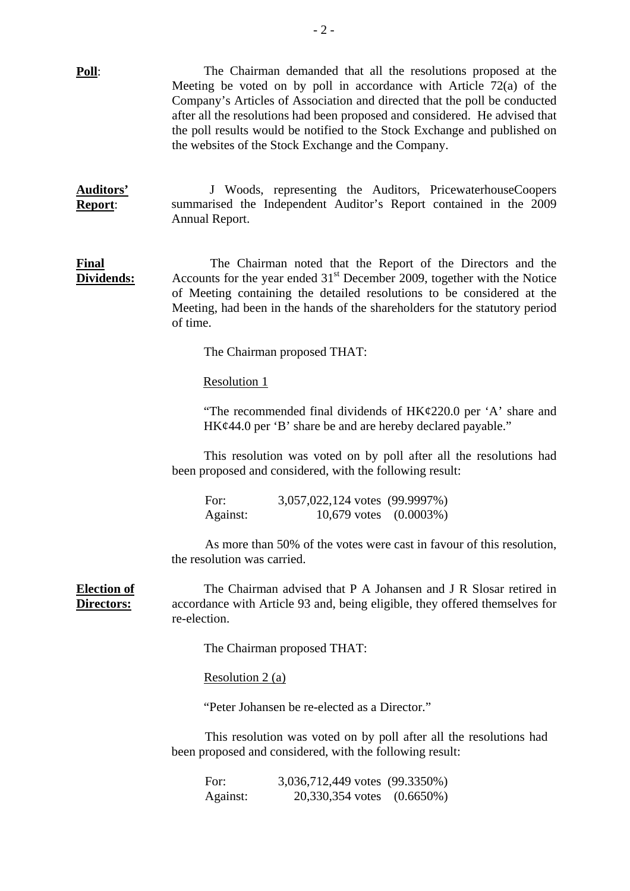| Poll:                            | The Chairman demanded that all the resolutions proposed at the<br>Meeting be voted on by poll in accordance with Article 72(a) of the<br>Company's Articles of Association and directed that the poll be conducted<br>after all the resolutions had been proposed and considered. He advised that<br>the poll results would be notified to the Stock Exchange and published on<br>the websites of the Stock Exchange and the Company. |  |  |  |  |
|----------------------------------|---------------------------------------------------------------------------------------------------------------------------------------------------------------------------------------------------------------------------------------------------------------------------------------------------------------------------------------------------------------------------------------------------------------------------------------|--|--|--|--|
| <b>Auditors'</b><br>Report:      | J Woods, representing the Auditors, PricewaterhouseCoopers<br>summarised the Independent Auditor's Report contained in the 2009<br>Annual Report.                                                                                                                                                                                                                                                                                     |  |  |  |  |
| <b>Final</b><br>Dividends:       | The Chairman noted that the Report of the Directors and the<br>Accounts for the year ended $31st$ December 2009, together with the Notice<br>of Meeting containing the detailed resolutions to be considered at the<br>Meeting, had been in the hands of the shareholders for the statutory period<br>of time.                                                                                                                        |  |  |  |  |
|                                  | The Chairman proposed THAT:                                                                                                                                                                                                                                                                                                                                                                                                           |  |  |  |  |
|                                  | <b>Resolution 1</b>                                                                                                                                                                                                                                                                                                                                                                                                                   |  |  |  |  |
|                                  | "The recommended final dividends of $HK\epsilon/220.0$ per 'A' share and<br>HK¢44.0 per 'B' share be and are hereby declared payable."                                                                                                                                                                                                                                                                                                |  |  |  |  |
|                                  | This resolution was voted on by poll after all the resolutions had<br>been proposed and considered, with the following result:                                                                                                                                                                                                                                                                                                        |  |  |  |  |
|                                  | For:<br>3,057,022,124 votes (99.9997%)<br>$10,679$ votes $(0.0003\%)$<br>Against:                                                                                                                                                                                                                                                                                                                                                     |  |  |  |  |
|                                  | As more than 50% of the votes were cast in favour of this resolution,<br>the resolution was carried.                                                                                                                                                                                                                                                                                                                                  |  |  |  |  |
| <b>Election of</b><br>Directors: | The Chairman advised that P A Johansen and J R Slosar retired in<br>accordance with Article 93 and, being eligible, they offered themselves for<br>re-election.                                                                                                                                                                                                                                                                       |  |  |  |  |
|                                  | The Chairman proposed THAT:                                                                                                                                                                                                                                                                                                                                                                                                           |  |  |  |  |
|                                  | Resolution $2(a)$                                                                                                                                                                                                                                                                                                                                                                                                                     |  |  |  |  |
|                                  | "Peter Johansen be re-elected as a Director."                                                                                                                                                                                                                                                                                                                                                                                         |  |  |  |  |
|                                  | This resolution was voted on by poll after all the resolutions had<br>been proposed and considered, with the following result:                                                                                                                                                                                                                                                                                                        |  |  |  |  |
|                                  | 3,036,712,449 votes (99.3350%)<br>For:<br>20,330,354 votes (0.6650%)<br>Against:                                                                                                                                                                                                                                                                                                                                                      |  |  |  |  |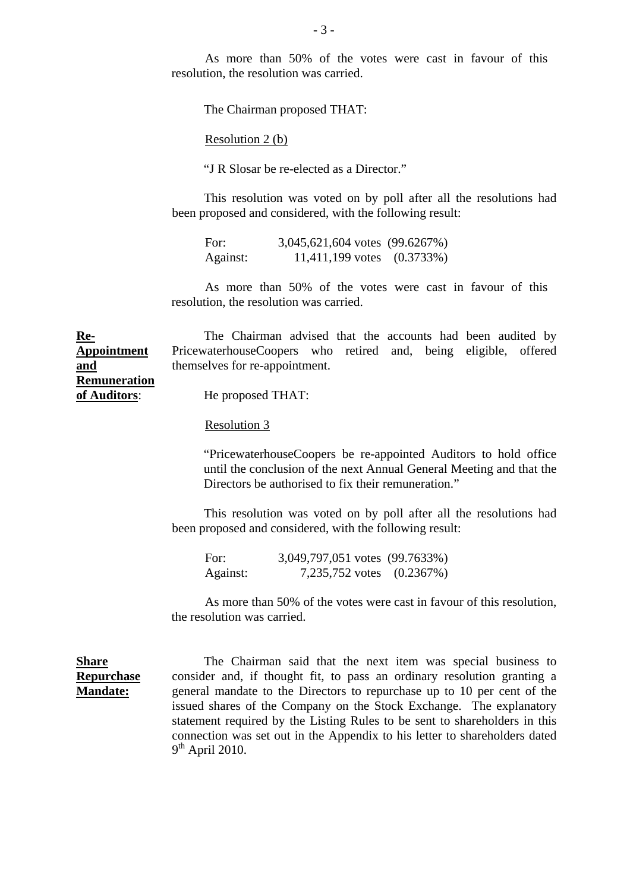As more than 50% of the votes were cast in favour of this resolution, the resolution was carried.

The Chairman proposed THAT:

Resolution 2 (b)

"J R Slosar be re-elected as a Director."

This resolution was voted on by poll after all the resolutions had been proposed and considered, with the following result:

For: 3,045,621,604 votes (99.6267%) Against: 11,411,199 votes (0.3733%)

As more than 50% of the votes were cast in favour of this resolution, the resolution was carried.

**Appointment**  The Chairman advised that the accounts had been audited by PricewaterhouseCoopers who retired and, being eligible, offered themselves for re-appointment.

**Remuneration of Auditors**:

**Re-**

**and** 

**Share** 

**Repurchase Mandate:**

He proposed THAT:

Resolution 3

 "PricewaterhouseCoopers be re-appointed Auditors to hold office until the conclusion of the next Annual General Meeting and that the Directors be authorised to fix their remuneration."

 This resolution was voted on by poll after all the resolutions had been proposed and considered, with the following result:

For: 3,049,797,051 votes (99.7633%) Against: 7,235,752 votes (0.2367%)

As more than 50% of the votes were cast in favour of this resolution, the resolution was carried.

The Chairman said that the next item was special business to consider and, if thought fit, to pass an ordinary resolution granting a general mandate to the Directors to repurchase up to 10 per cent of the issued shares of the Company on the Stock Exchange. The explanatory statement required by the Listing Rules to be sent to shareholders in this connection was set out in the Appendix to his letter to shareholders dated  $9<sup>th</sup>$  April 2010.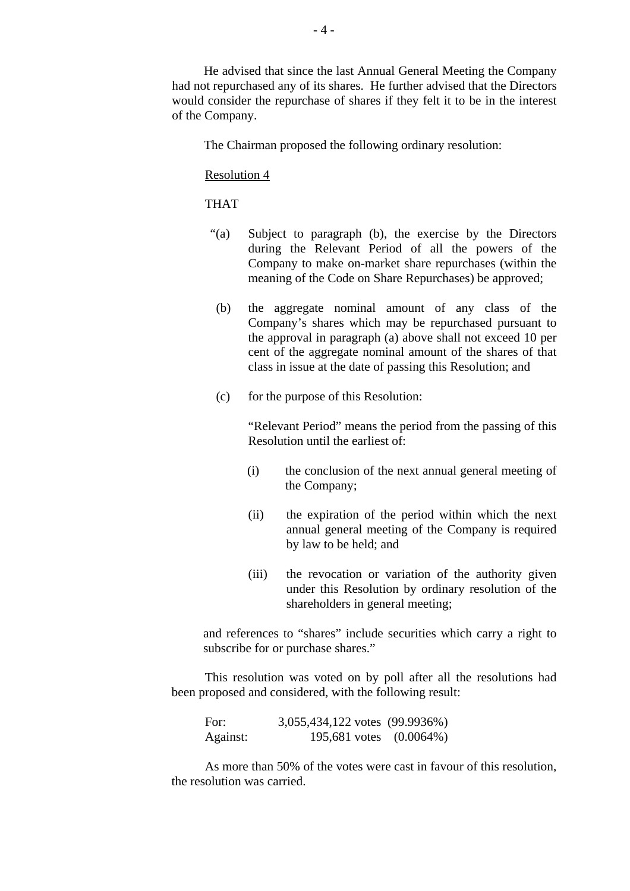He advised that since the last Annual General Meeting the Company had not repurchased any of its shares. He further advised that the Directors would consider the repurchase of shares if they felt it to be in the interest of the Company.

The Chairman proposed the following ordinary resolution:

#### Resolution 4

### THAT

- "(a) Subject to paragraph (b), the exercise by the Directors during the Relevant Period of all the powers of the Company to make on-market share repurchases (within the meaning of the Code on Share Repurchases) be approved;
- (b) the aggregate nominal amount of any class of the Company's shares which may be repurchased pursuant to the approval in paragraph (a) above shall not exceed 10 per cent of the aggregate nominal amount of the shares of that class in issue at the date of passing this Resolution; and
- (c) for the purpose of this Resolution:

 "Relevant Period" means the period from the passing of this Resolution until the earliest of:

- (i) the conclusion of the next annual general meeting of the Company;
- (ii) the expiration of the period within which the next annual general meeting of the Company is required by law to be held; and
- (iii) the revocation or variation of the authority given under this Resolution by ordinary resolution of the shareholders in general meeting;

and references to "shares" include securities which carry a right to subscribe for or purchase shares."

This resolution was voted on by poll after all the resolutions had been proposed and considered, with the following result:

| For:     | 3,055,434,122 votes (99.9936%) |  |
|----------|--------------------------------|--|
| Against: | 195,681 votes (0.0064%)        |  |

As more than 50% of the votes were cast in favour of this resolution, the resolution was carried.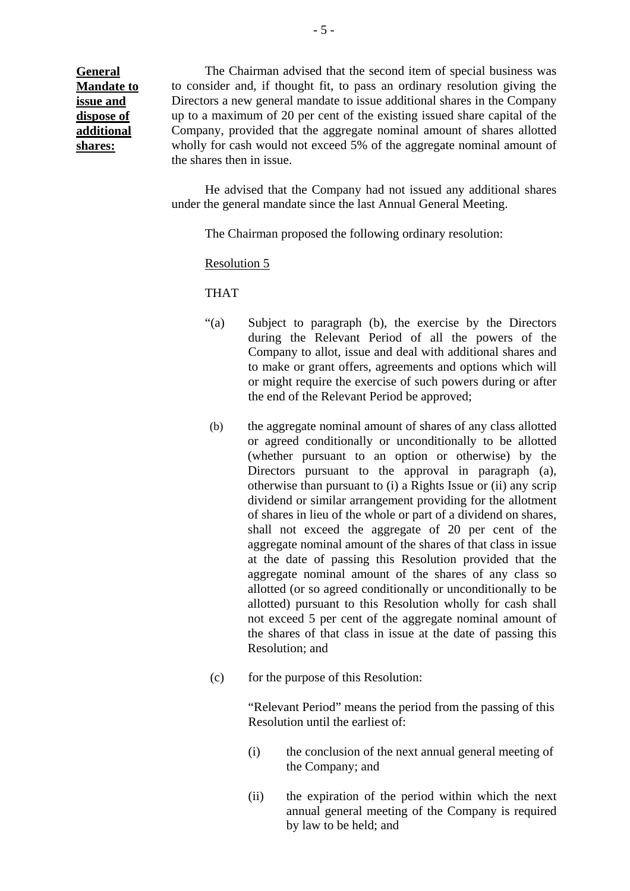**General Mandate to issue and dispose of additional shares:**

The Chairman advised that the second item of special business was to consider and, if thought fit, to pass an ordinary resolution giving the Directors a new general mandate to issue additional shares in the Company up to a maximum of 20 per cent of the existing issued share capital of the Company, provided that the aggregate nominal amount of shares allotted wholly for cash would not exceed 5% of the aggregate nominal amount of the shares then in issue.

 He advised that the Company had not issued any additional shares under the general mandate since the last Annual General Meeting.

The Chairman proposed the following ordinary resolution:

Resolution 5

THAT

- "(a) Subject to paragraph (b), the exercise by the Directors during the Relevant Period of all the powers of the Company to allot, issue and deal with additional shares and to make or grant offers, agreements and options which will or might require the exercise of such powers during or after the end of the Relevant Period be approved;
- (b) the aggregate nominal amount of shares of any class allotted or agreed conditionally or unconditionally to be allotted (whether pursuant to an option or otherwise) by the Directors pursuant to the approval in paragraph (a), otherwise than pursuant to (i) a Rights Issue or (ii) any scrip dividend or similar arrangement providing for the allotment of shares in lieu of the whole or part of a dividend on shares, shall not exceed the aggregate of 20 per cent of the aggregate nominal amount of the shares of that class in issue at the date of passing this Resolution provided that the aggregate nominal amount of the shares of any class so allotted (or so agreed conditionally or unconditionally to be allotted) pursuant to this Resolution wholly for cash shall not exceed 5 per cent of the aggregate nominal amount of the shares of that class in issue at the date of passing this Resolution; and
- (c) for the purpose of this Resolution:

"Relevant Period" means the period from the passing of this Resolution until the earliest of:

- (i) the conclusion of the next annual general meeting of the Company; and
- (ii) the expiration of the period within which the next annual general meeting of the Company is required by law to be held; and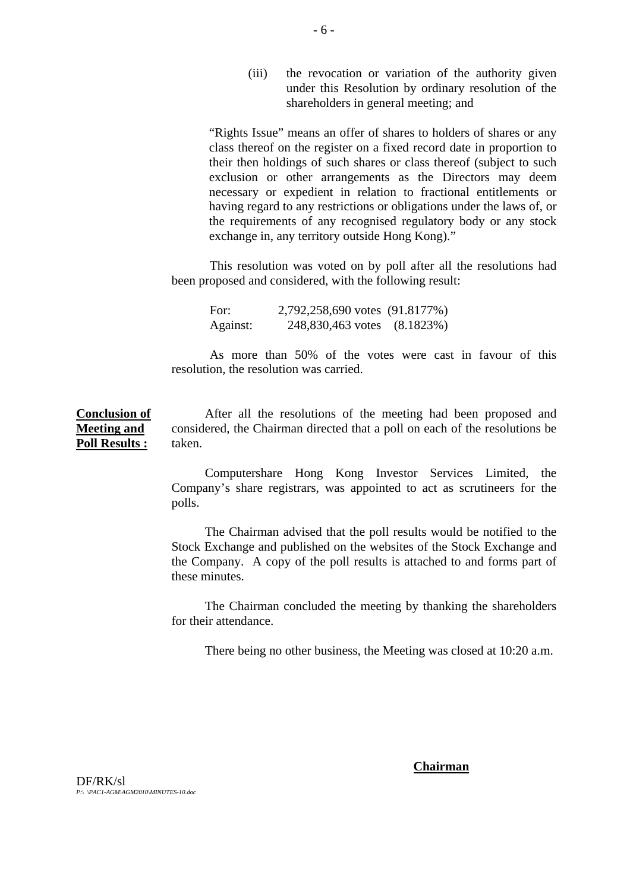(iii) the revocation or variation of the authority given under this Resolution by ordinary resolution of the shareholders in general meeting; and

"Rights Issue" means an offer of shares to holders of shares or any class thereof on the register on a fixed record date in proportion to their then holdings of such shares or class thereof (subject to such exclusion or other arrangements as the Directors may deem necessary or expedient in relation to fractional entitlements or having regard to any restrictions or obligations under the laws of, or the requirements of any recognised regulatory body or any stock exchange in, any territory outside Hong Kong)."

This resolution was voted on by poll after all the resolutions had been proposed and considered, with the following result:

For: 2,792,258,690 votes (91.8177%) Against: 248,830,463 votes (8.1823%)

As more than 50% of the votes were cast in favour of this resolution, the resolution was carried.

**Conclusion of Meeting and Poll Results :**

After all the resolutions of the meeting had been proposed and considered, the Chairman directed that a poll on each of the resolutions be taken.

Computershare Hong Kong Investor Services Limited, the Company's share registrars, was appointed to act as scrutineers for the polls.

The Chairman advised that the poll results would be notified to the Stock Exchange and published on the websites of the Stock Exchange and the Company. A copy of the poll results is attached to and forms part of these minutes.

The Chairman concluded the meeting by thanking the shareholders for their attendance.

There being no other business, the Meeting was closed at 10:20 a.m.

#### **Chairman**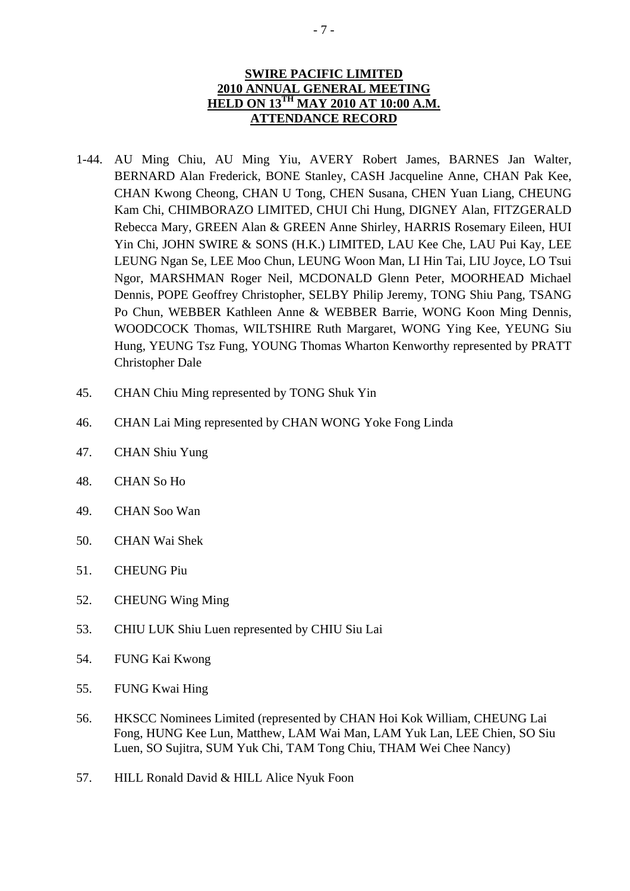# **SWIRE PACIFIC LIMITED 2010 ANNUAL GENERAL MEETING HELD ON 13TH MAY 2010 AT 10:00 A.M. ATTENDANCE RECORD**

- 1-44. AU Ming Chiu, AU Ming Yiu, AVERY Robert James, BARNES Jan Walter, BERNARD Alan Frederick, BONE Stanley, CASH Jacqueline Anne, CHAN Pak Kee, CHAN Kwong Cheong, CHAN U Tong, CHEN Susana, CHEN Yuan Liang, CHEUNG Kam Chi, CHIMBORAZO LIMITED, CHUI Chi Hung, DIGNEY Alan, FITZGERALD Rebecca Mary, GREEN Alan & GREEN Anne Shirley, HARRIS Rosemary Eileen, HUI Yin Chi, JOHN SWIRE & SONS (H.K.) LIMITED, LAU Kee Che, LAU Pui Kay, LEE LEUNG Ngan Se, LEE Moo Chun, LEUNG Woon Man, LI Hin Tai, LIU Joyce, LO Tsui Ngor, MARSHMAN Roger Neil, MCDONALD Glenn Peter, MOORHEAD Michael Dennis, POPE Geoffrey Christopher, SELBY Philip Jeremy, TONG Shiu Pang, TSANG Po Chun, WEBBER Kathleen Anne & WEBBER Barrie, WONG Koon Ming Dennis, WOODCOCK Thomas, WILTSHIRE Ruth Margaret, WONG Ying Kee, YEUNG Siu Hung, YEUNG Tsz Fung, YOUNG Thomas Wharton Kenworthy represented by PRATT Christopher Dale
- 45. CHAN Chiu Ming represented by TONG Shuk Yin
- 46. CHAN Lai Ming represented by CHAN WONG Yoke Fong Linda
- 47. CHAN Shiu Yung
- 48. CHAN So Ho
- 49. CHAN Soo Wan
- 50. CHAN Wai Shek
- 51. CHEUNG Piu
- 52. CHEUNG Wing Ming
- 53. CHIU LUK Shiu Luen represented by CHIU Siu Lai
- 54. FUNG Kai Kwong
- 55. FUNG Kwai Hing
- 56. HKSCC Nominees Limited (represented by CHAN Hoi Kok William, CHEUNG Lai Fong, HUNG Kee Lun, Matthew, LAM Wai Man, LAM Yuk Lan, LEE Chien, SO Siu Luen, SO Sujitra, SUM Yuk Chi, TAM Tong Chiu, THAM Wei Chee Nancy)
- 57. HILL Ronald David & HILL Alice Nyuk Foon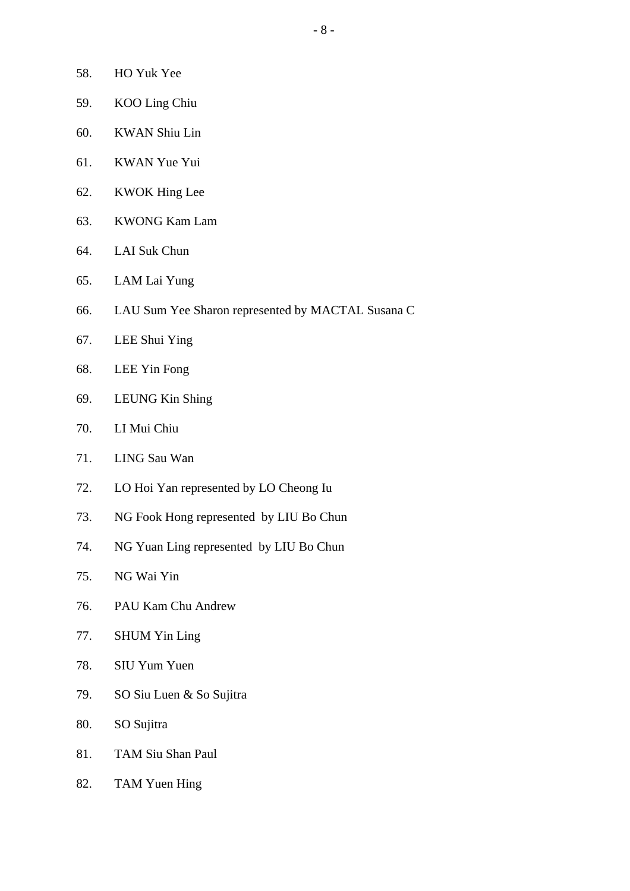- 58. HO Yuk Yee
- 59. KOO Ling Chiu
- 60. KWAN Shiu Lin
- 61. KWAN Yue Yui
- 62. KWOK Hing Lee
- 63. KWONG Kam Lam
- 64. LAI Suk Chun
- 65. LAM Lai Yung
- 66. LAU Sum Yee Sharon represented by MACTAL Susana C
- 67. LEE Shui Ying
- 68. LEE Yin Fong
- 69. LEUNG Kin Shing
- 70. LI Mui Chiu
- 71. LING Sau Wan
- 72. LO Hoi Yan represented by LO Cheong Iu
- 73. NG Fook Hong represented by LIU Bo Chun
- 74. NG Yuan Ling represented by LIU Bo Chun
- 75. NG Wai Yin
- 76. PAU Kam Chu Andrew
- 77. SHUM Yin Ling
- 78. SIU Yum Yuen
- 79. SO Siu Luen & So Sujitra
- 80. SO Sujitra
- 81. TAM Siu Shan Paul
- 82. TAM Yuen Hing